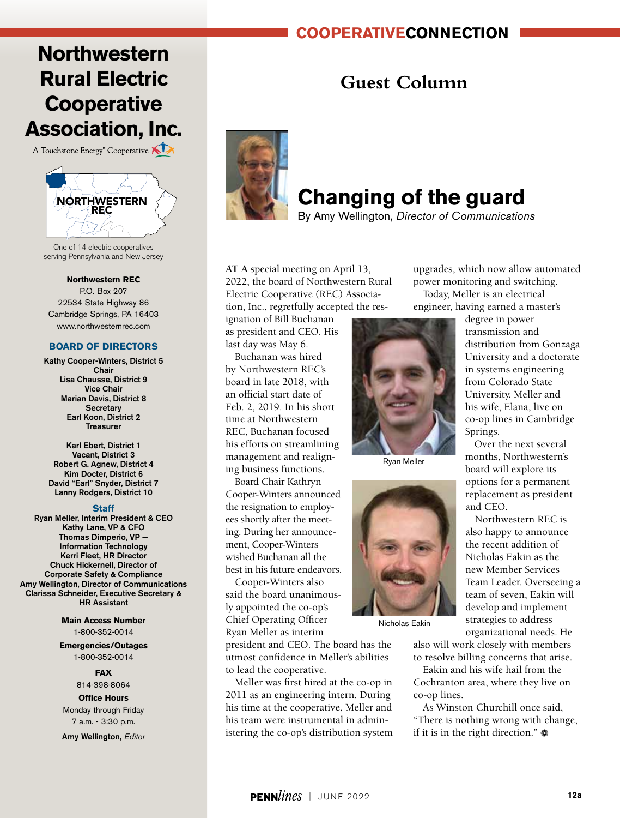## **cooperativeconnection**

# **Northwestern Rural Electric Cooperative Association, Inc.**

A Touchstone Energy<sup>®</sup> Cooperative



One of 14 electric cooperatives serving Pennsylvania and New Jersey

**Northwestern REC**

P.O. Box 207 22534 State Highway 86 Cambridge Springs, PA 16403 www.northwesternrec.com

#### **BOARD OF DIRECTORS**

Kathy Cooper-Winters, District 5 Chair Lisa Chausse, District 9 Vice Chair Marian Davis, District 8 **Secretary** Earl Koon, District 2 Treasurer

Karl Ebert, District 1 Vacant, District 3 Robert G. Agnew, District 4 Kim Docter, District 6 David "Earl" Snyder, District 7 Lanny Rodgers, District 10

#### **Staff**

Ryan Meller, Interim President & CEO Kathy Lane, VP & CFO Thomas Dimperio, VP — Information Technology Kerri Fleet, HR Director Chuck Hickernell, Director of Corporate Safety & Compliance Amy Wellington, Director of Communications Clarissa Schneider, Executive Secretary & HR Assistant

> **Main Access Number** 1-800-352-0014

**Emergencies/Outages** 1-800-352-0014

**FAX**

814-398-8064

#### **Office Hours** Monday through Friday

7 a.m. - 3:30 p.m.

Amy Wellington, *Editor*

## **Guest Column**



# **Changing of the guard**

By Amy Wellington, *Director of Communications*

**AT A** special meeting on April 13, 2022, the board of Northwestern Rural Electric Cooperative (REC) Association, Inc., regretfully accepted the res-

ignation of Bill Buchanan as president and CEO. His last day was May 6.

Buchanan was hired by Northwestern REC's board in late 2018, with an official start date of Feb. 2, 2019. In his short time at Northwestern REC, Buchanan focused his efforts on streamlining management and realigning business functions.

Board Chair Kathryn Cooper-Winters announced the resignation to employees shortly after the meeting. During her announcement, Cooper-Winters wished Buchanan all the best in his future endeavors.

Cooper-Winters also said the board unanimously appointed the co-op's Chief Operating Officer Ryan Meller as interim

president and CEO. The board has the utmost confidence in Meller's abilities to lead the cooperative.

Meller was first hired at the co-op in 2011 as an engineering intern. During his time at the cooperative, Meller and his team were instrumental in administering the co-op's distribution system



Ryan Meller



Nicholas Eakin

organizational needs. He also will work closely with members to resolve billing concerns that arise.

Eakin and his wife hail from the Cochranton area, where they live on co-op lines.

As Winston Churchill once said, "There is nothing wrong with change, if it is in the right direction."  $\clubsuit$ 

engineer, having earned a master's degree in power transmission and distribution from Gonzaga University and a doctorate in systems engineering from Colorado State University. Meller and his wife, Elana, live on co-op lines in Cambridge Springs.

upgrades, which now allow automated power monitoring and switching. Today, Meller is an electrical

> Over the next several months, Northwestern's board will explore its options for a permanent replacement as president and CEO.

Northwestern REC is also happy to announce the recent addition of Nicholas Eakin as the new Member Services Team Leader. Overseeing a team of seven, Eakin will develop and implement strategies to address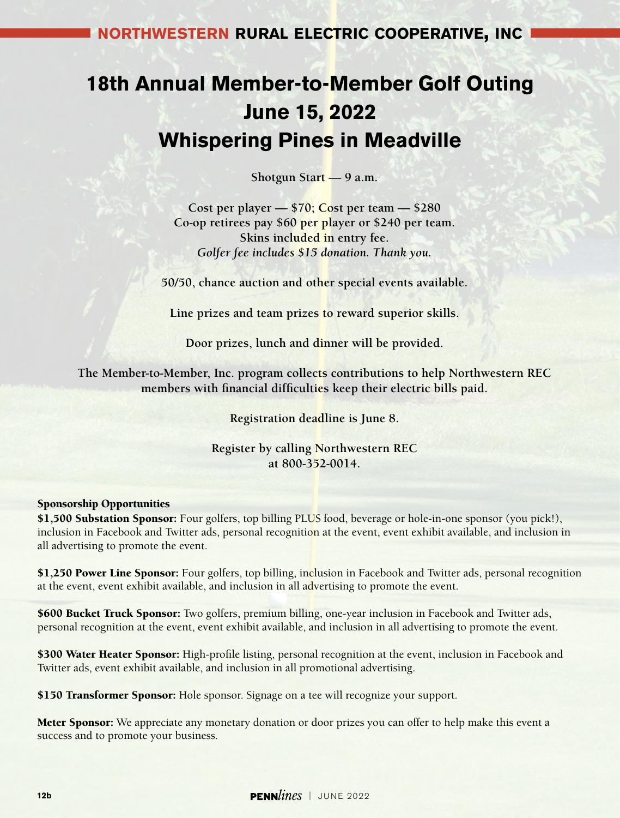## **northwestern rural electric cooperative, inc**

# **18th Annual Member-to-Member Golf Outing June 15, 2022 Whispering Pines in Meadville**

**Shotgun Start — 9 a.m.**

**Cost per player — \$70; Cost per team — \$280 Co-op retirees pay \$60 per player or \$240 per team. Skins included in entry fee.** *Golfer fee includes \$15 donation. Thank you.*

**50/50, chance auction and other special events available.**

**Line prizes and team prizes to reward superior skills.**

**Door prizes, lunch and dinner will be provided.**

**The Member-to-Member, Inc. program collects contributions to help Northwestern REC members with financial difficulties keep their electric bills paid.**

**Registration deadline is June 8.**

**Register by calling Northwestern REC at 800-352-0014.**

### Sponsorship Opportunities

\$1,500 Substation Sponsor: Four golfers, top billing PLUS food, beverage or hole-in-one sponsor (you pick!), inclusion in Facebook and Twitter ads, personal recognition at the event, event exhibit available, and inclusion in all advertising to promote the event.

\$1,250 Power Line Sponsor: Four golfers, top billing, inclusion in Facebook and Twitter ads, personal recognition at the event, event exhibit available, and inclusion in all advertising to promote the event.

**\$600 Bucket Truck Sponsor:** Two golfers, premium billing, one-year inclusion in Facebook and Twitter ads, personal recognition at the event, event exhibit available, and inclusion in all advertising to promote the event.

\$300 Water Heater Sponsor: High-profile listing, personal recognition at the event, inclusion in Facebook and Twitter ads, event exhibit available, and inclusion in all promotional advertising.

\$150 Transformer Sponsor: Hole sponsor. Signage on a tee will recognize your support.

**Meter Sponsor:** We appreciate any monetary donation or door prizes you can offer to help make this event a success and to promote your business.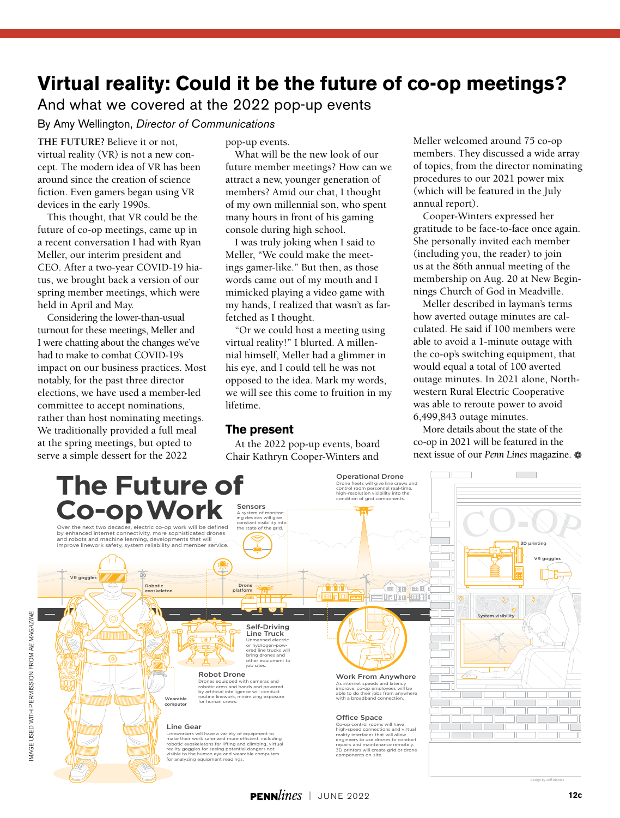## **Virtual reality: Could it be the future of co-op meetings?**

And what we covered at the 2022 pop-up events

By Amy Wellington, *Director of Communications*

**THE FUTURE?** Believe it or not, virtual reality (VR) is not a new concept. The modern idea of VR has been around since the creation of science fiction. Even gamers began using VR devices in the early 1990s.

This thought, that VR could be the future of co-op meetings, came up in a recent conversation I had with Ryan Meller, our interim president and CEO. After a two-year COVID-19 hiatus, we brought back a version of our spring member meetings, which were held in April and May.

Considering the lower-than-usual turnout for these meetings, Meller and I were chatting about the changes we've had to make to combat COVID-19's impact on our business practices. Most notably, for the past three director elections, we have used a member-led committee to accept nominations, rather than host nominating meetings. We traditionally provided a full meal at the spring meetings, but opted to serve a simple dessert for the 2022

pop-up events.

What will be the new look of our future member meetings? How can we attract a new, younger generation of members? Amid our chat, I thought of my own millennial son, who spent many hours in front of his gaming console during high school.

I was truly joking when I said to Meller, "We could make the meetings gamer-like." But then, as those words came out of my mouth and I mimicked playing a video game with my hands, I realized that wasn't as farfetched as I thought.

"Or we could host a meeting using virtual reality!" I blurted. A millennial himself, Meller had a glimmer in his eye, and I could tell he was not opposed to the idea. Mark my words, we will see this come to fruition in my lifetime.

## **The present**

At the 2022 pop-up events, board Chair Kathryn Cooper-Winters and

Meller welcomed around 75 co-op members. They discussed a wide array of topics, from the director nominating procedures to our 2021 power mix (which will be featured in the July annual report).

Cooper-Winters expressed her gratitude to be face-to-face once again. She personally invited each member (including you, the reader) to join us at the 86th annual meeting of the membership on Aug. 20 at New Beginnings Church of God in Meadville.

Meller described in layman's terms how averted outage minutes are calculated. He said if 100 members were able to avoid a 1-minute outage with the co-op's switching equipment, that would equal a total of 100 averted outage minutes. In 2021 alone, Northwestern Rural Electric Cooperative was able to reroute power to avoid 6,499,843 outage minutes.

More details about the state of the co-op in 2021 will be featured in the next issue of our *Penn Lines* magazine. a



 $2<sup>2</sup>$ 

Design by Jeff Dionise